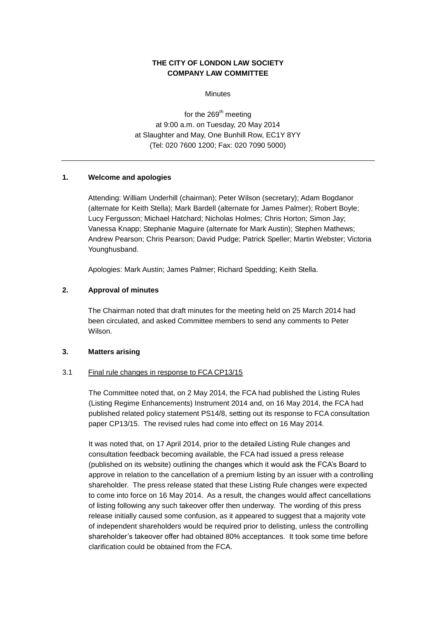# **THE CITY OF LONDON LAW SOCIETY COMPANY LAW COMMITTEE**

**Minutes** 

for the  $269<sup>th</sup>$  meeting at 9:00 a.m. on Tuesday, 20 May 2014 at Slaughter and May, One Bunhill Row, EC1Y 8YY (Tel: 020 7600 1200; Fax: 020 7090 5000)

## **1. Welcome and apologies**

Attending: William Underhill (chairman); Peter Wilson (secretary); Adam Bogdanor (alternate for Keith Stella); Mark Bardell (alternate for James Palmer); Robert Boyle; Lucy Fergusson; Michael Hatchard; Nicholas Holmes; Chris Horton; Simon Jay; Vanessa Knapp; Stephanie Maguire (alternate for Mark Austin); Stephen Mathews; Andrew Pearson; Chris Pearson; David Pudge; Patrick Speller; Martin Webster; Victoria Younghusband.

Apologies: Mark Austin; James Palmer; Richard Spedding; Keith Stella.

## **2. Approval of minutes**

The Chairman noted that draft minutes for the meeting held on 25 March 2014 had been circulated, and asked Committee members to send any comments to Peter Wilson.

## **3. Matters arising**

## 3.1 Final rule changes in response to FCA CP13/15

The Committee noted that, on 2 May 2014, the FCA had published the Listing Rules (Listing Regime Enhancements) Instrument 2014 and, on 16 May 2014, the FCA had published related policy statement PS14/8, setting out its response to FCA consultation paper CP13/15. The revised rules had come into effect on 16 May 2014.

It was noted that, on 17 April 2014, prior to the detailed Listing Rule changes and consultation feedback becoming available, the FCA had issued a press release (published on its website) outlining the changes which it would ask the FCA's Board to approve in relation to the cancellation of a premium listing by an issuer with a controlling shareholder. The press release stated that these Listing Rule changes were expected to come into force on 16 May 2014. As a result, the changes would affect cancellations of listing following any such takeover offer then underway. The wording of this press release initially caused some confusion, as it appeared to suggest that a majority vote of independent shareholders would be required prior to delisting, unless the controlling shareholder's takeover offer had obtained 80% acceptances. It took some time before clarification could be obtained from the FCA.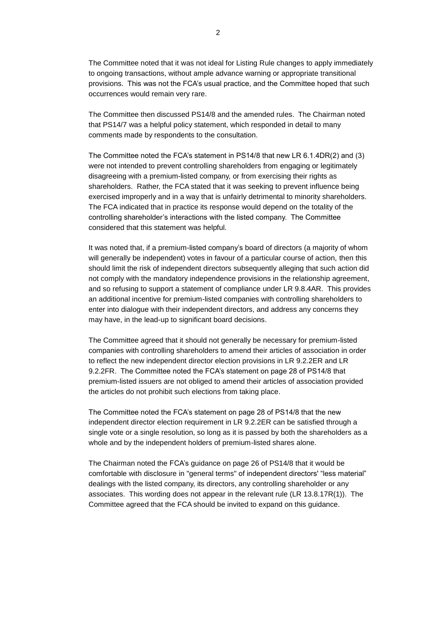The Committee noted that it was not ideal for Listing Rule changes to apply immediately to ongoing transactions, without ample advance warning or appropriate transitional provisions. This was not the FCA's usual practice, and the Committee hoped that such occurrences would remain very rare.

The Committee then discussed PS14/8 and the amended rules. The Chairman noted that PS14/7 was a helpful policy statement, which responded in detail to many comments made by respondents to the consultation.

The Committee noted the FCA's statement in PS14/8 that new LR 6.1.4DR(2) and (3) were not intended to prevent controlling shareholders from engaging or legitimately disagreeing with a premium-listed company, or from exercising their rights as shareholders. Rather, the FCA stated that it was seeking to prevent influence being exercised improperly and in a way that is unfairly detrimental to minority shareholders. The FCA indicated that in practice its response would depend on the totality of the controlling shareholder's interactions with the listed company. The Committee considered that this statement was helpful.

It was noted that, if a premium-listed company's board of directors (a majority of whom will generally be independent) votes in favour of a particular course of action, then this should limit the risk of independent directors subsequently alleging that such action did not comply with the mandatory independence provisions in the relationship agreement, and so refusing to support a statement of compliance under LR 9.8.4AR. This provides an additional incentive for premium-listed companies with controlling shareholders to enter into dialogue with their independent directors, and address any concerns they may have, in the lead-up to significant board decisions.

The Committee agreed that it should not generally be necessary for premium-listed companies with controlling shareholders to amend their articles of association in order to reflect the new independent director election provisions in LR 9.2.2ER and LR 9.2.2FR. The Committee noted the FCA's statement on page 28 of PS14/8 that premium-listed issuers are not obliged to amend their articles of association provided the articles do not prohibit such elections from taking place.

The Committee noted the FCA's statement on page 28 of PS14/8 that the new independent director election requirement in LR 9.2.2ER can be satisfied through a single vote or a single resolution, so long as it is passed by both the shareholders as a whole and by the independent holders of premium-listed shares alone.

The Chairman noted the FCA's guidance on page 26 of PS14/8 that it would be comfortable with disclosure in "general terms" of independent directors' "less material" dealings with the listed company, its directors, any controlling shareholder or any associates. This wording does not appear in the relevant rule (LR 13.8.17R(1)). The Committee agreed that the FCA should be invited to expand on this guidance.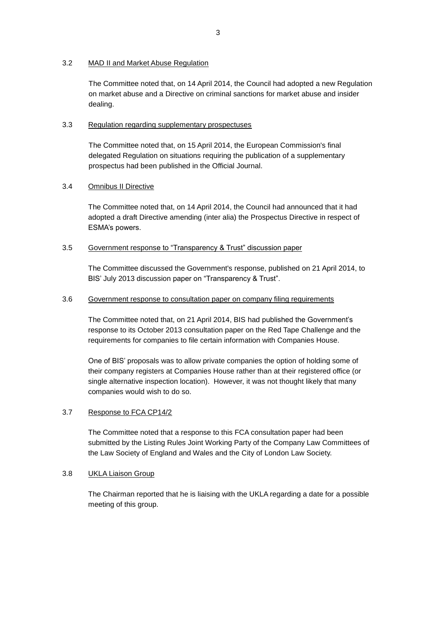# 3.2 MAD II and Market Abuse Regulation

The Committee noted that, on 14 April 2014, the Council had adopted a new Regulation on market abuse and a Directive on criminal sanctions for market abuse and insider dealing.

## 3.3 Regulation regarding supplementary prospectuses

The Committee noted that, on 15 April 2014, the European Commission's final delegated Regulation on situations requiring the publication of a supplementary prospectus had been published in the Official Journal.

# 3.4 Omnibus II Directive

The Committee noted that, on 14 April 2014, the Council had announced that it had adopted a draft Directive amending (inter alia) the Prospectus Directive in respect of ESMA's powers.

## 3.5 Government response to "Transparency & Trust" discussion paper

The Committee discussed the Government's response, published on 21 April 2014, to BIS' July 2013 discussion paper on "Transparency & Trust".

## 3.6 Government response to consultation paper on company filing requirements

The Committee noted that, on 21 April 2014, BIS had published the Government's response to its October 2013 consultation paper on the Red Tape Challenge and the requirements for companies to file certain information with Companies House.

One of BIS' proposals was to allow private companies the option of holding some of their company registers at Companies House rather than at their registered office (or single alternative inspection location). However, it was not thought likely that many companies would wish to do so.

## 3.7 Response to FCA CP14/2

The Committee noted that a response to this FCA consultation paper had been submitted by the Listing Rules Joint Working Party of the Company Law Committees of the Law Society of England and Wales and the City of London Law Society.

## 3.8 UKLA Liaison Group

The Chairman reported that he is liaising with the UKLA regarding a date for a possible meeting of this group.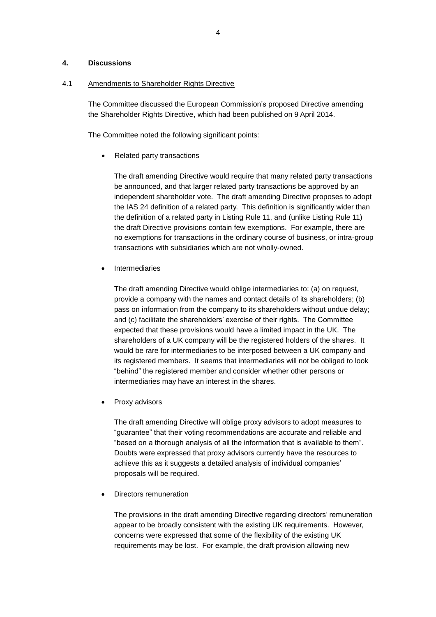# **4. Discussions**

## 4.1 Amendments to Shareholder Rights Directive

The Committee discussed the European Commission's proposed Directive amending the Shareholder Rights Directive, which had been published on 9 April 2014.

The Committee noted the following significant points:

# • Related party transactions

The draft amending Directive would require that many related party transactions be announced, and that larger related party transactions be approved by an independent shareholder vote. The draft amending Directive proposes to adopt the IAS 24 definition of a related party. This definition is significantly wider than the definition of a related party in Listing Rule 11, and (unlike Listing Rule 11) the draft Directive provisions contain few exemptions. For example, there are no exemptions for transactions in the ordinary course of business, or intra-group transactions with subsidiaries which are not wholly-owned.

Intermediaries

The draft amending Directive would oblige intermediaries to: (a) on request, provide a company with the names and contact details of its shareholders; (b) pass on information from the company to its shareholders without undue delay; and (c) facilitate the shareholders' exercise of their rights. The Committee expected that these provisions would have a limited impact in the UK. The shareholders of a UK company will be the registered holders of the shares. It would be rare for intermediaries to be interposed between a UK company and its registered members. It seems that intermediaries will not be obliged to look "behind" the registered member and consider whether other persons or intermediaries may have an interest in the shares.

Proxy advisors

The draft amending Directive will oblige proxy advisors to adopt measures to "guarantee" that their voting recommendations are accurate and reliable and "based on a thorough analysis of all the information that is available to them". Doubts were expressed that proxy advisors currently have the resources to achieve this as it suggests a detailed analysis of individual companies' proposals will be required.

Directors remuneration

The provisions in the draft amending Directive regarding directors' remuneration appear to be broadly consistent with the existing UK requirements. However, concerns were expressed that some of the flexibility of the existing UK requirements may be lost. For example, the draft provision allowing new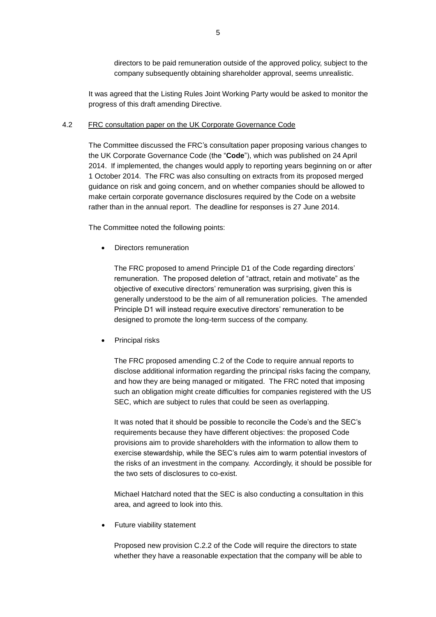directors to be paid remuneration outside of the approved policy, subject to the company subsequently obtaining shareholder approval, seems unrealistic.

It was agreed that the Listing Rules Joint Working Party would be asked to monitor the progress of this draft amending Directive.

#### 4.2 FRC consultation paper on the UK Corporate Governance Code

The Committee discussed the FRC's consultation paper proposing various changes to the UK Corporate Governance Code (the "**Code**"), which was published on 24 April 2014. If implemented, the changes would apply to reporting years beginning on or after 1 October 2014. The FRC was also consulting on extracts from its proposed merged guidance on risk and going concern, and on whether companies should be allowed to make certain corporate governance disclosures required by the Code on a website rather than in the annual report. The deadline for responses is 27 June 2014.

The Committee noted the following points:

Directors remuneration

The FRC proposed to amend Principle D1 of the Code regarding directors' remuneration. The proposed deletion of "attract, retain and motivate" as the objective of executive directors' remuneration was surprising, given this is generally understood to be the aim of all remuneration policies. The amended Principle D1 will instead require executive directors' remuneration to be designed to promote the long-term success of the company.

Principal risks

The FRC proposed amending C.2 of the Code to require annual reports to disclose additional information regarding the principal risks facing the company, and how they are being managed or mitigated. The FRC noted that imposing such an obligation might create difficulties for companies registered with the US SEC, which are subject to rules that could be seen as overlapping.

It was noted that it should be possible to reconcile the Code's and the SEC's requirements because they have different objectives: the proposed Code provisions aim to provide shareholders with the information to allow them to exercise stewardship, while the SEC's rules aim to warm potential investors of the risks of an investment in the company. Accordingly, it should be possible for the two sets of disclosures to co-exist.

Michael Hatchard noted that the SEC is also conducting a consultation in this area, and agreed to look into this.

• Future viability statement

Proposed new provision C.2.2 of the Code will require the directors to state whether they have a reasonable expectation that the company will be able to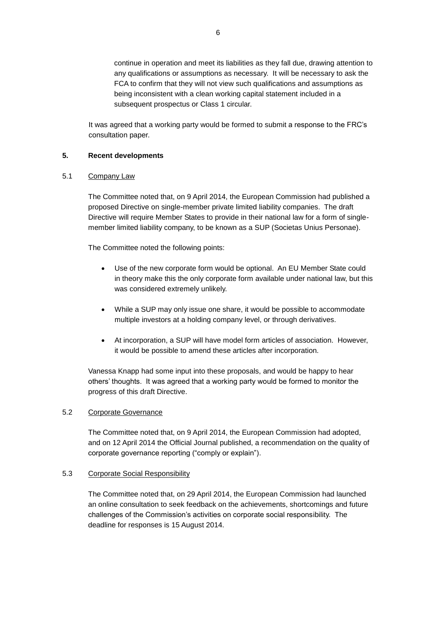continue in operation and meet its liabilities as they fall due, drawing attention to any qualifications or assumptions as necessary. It will be necessary to ask the FCA to confirm that they will not view such qualifications and assumptions as being inconsistent with a clean working capital statement included in a subsequent prospectus or Class 1 circular.

It was agreed that a working party would be formed to submit a response to the FRC's consultation paper.

## **5. Recent developments**

## 5.1 Company Law

The Committee noted that, on 9 April 2014, the European Commission had published a proposed Directive on single-member private limited liability companies. The draft Directive will require Member States to provide in their national law for a form of singlemember limited liability company, to be known as a SUP (Societas Unius Personae).

The Committee noted the following points:

- Use of the new corporate form would be optional. An EU Member State could in theory make this the only corporate form available under national law, but this was considered extremely unlikely.
- While a SUP may only issue one share, it would be possible to accommodate multiple investors at a holding company level, or through derivatives.
- At incorporation, a SUP will have model form articles of association. However, it would be possible to amend these articles after incorporation.

Vanessa Knapp had some input into these proposals, and would be happy to hear others' thoughts. It was agreed that a working party would be formed to monitor the progress of this draft Directive.

# 5.2 Corporate Governance

The Committee noted that, on 9 April 2014, the European Commission had adopted, and on 12 April 2014 the Official Journal published, a recommendation on the quality of corporate governance reporting ("comply or explain").

# 5.3 Corporate Social Responsibility

The Committee noted that, on 29 April 2014, the European Commission had launched an online consultation to seek feedback on the achievements, shortcomings and future challenges of the Commission's activities on corporate social responsibility. The deadline for responses is 15 August 2014.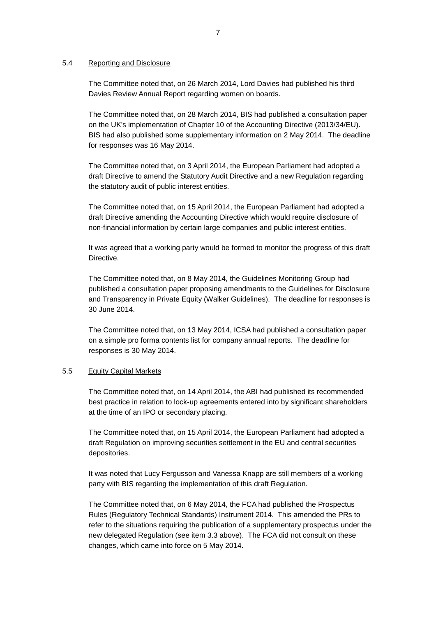## 5.4 Reporting and Disclosure

The Committee noted that, on 26 March 2014, Lord Davies had published his third Davies Review Annual Report regarding women on boards.

The Committee noted that, on 28 March 2014, BIS had published a consultation paper on the UK's implementation of Chapter 10 of the Accounting Directive (2013/34/EU). BIS had also published some supplementary information on 2 May 2014. The deadline for responses was 16 May 2014.

The Committee noted that, on 3 April 2014, the European Parliament had adopted a draft Directive to amend the Statutory Audit Directive and a new Regulation regarding the statutory audit of public interest entities.

The Committee noted that, on 15 April 2014, the European Parliament had adopted a draft Directive amending the Accounting Directive which would require disclosure of non-financial information by certain large companies and public interest entities.

It was agreed that a working party would be formed to monitor the progress of this draft Directive.

The Committee noted that, on 8 May 2014, the Guidelines Monitoring Group had published a consultation paper proposing amendments to the Guidelines for Disclosure and Transparency in Private Equity (Walker Guidelines). The deadline for responses is 30 June 2014.

The Committee noted that, on 13 May 2014, ICSA had published a consultation paper on a simple pro forma contents list for company annual reports. The deadline for responses is 30 May 2014.

## 5.5 Equity Capital Markets

The Committee noted that, on 14 April 2014, the ABI had published its recommended best practice in relation to lock-up agreements entered into by significant shareholders at the time of an IPO or secondary placing.

The Committee noted that, on 15 April 2014, the European Parliament had adopted a draft Regulation on improving securities settlement in the EU and central securities depositories.

It was noted that Lucy Fergusson and Vanessa Knapp are still members of a working party with BIS regarding the implementation of this draft Regulation.

The Committee noted that, on 6 May 2014, the FCA had published the Prospectus Rules (Regulatory Technical Standards) Instrument 2014. This amended the PRs to refer to the situations requiring the publication of a supplementary prospectus under the new delegated Regulation (see item 3.3 above). The FCA did not consult on these changes, which came into force on 5 May 2014.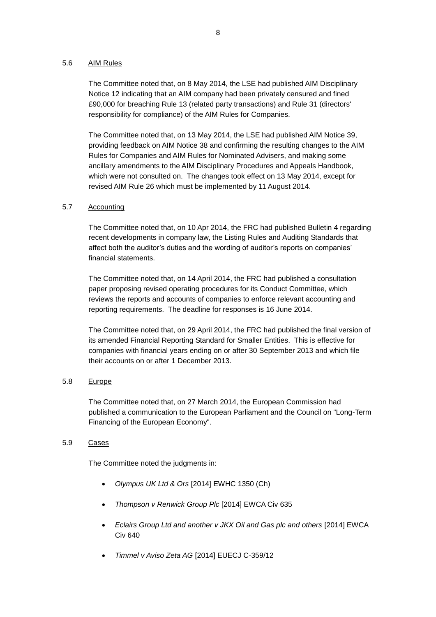# 5.6 AIM Rules

The Committee noted that, on 8 May 2014, the LSE had published AIM Disciplinary Notice 12 indicating that an AIM company had been privately censured and fined £90,000 for breaching Rule 13 (related party transactions) and Rule 31 (directors' responsibility for compliance) of the AIM Rules for Companies.

The Committee noted that, on 13 May 2014, the LSE had published AIM Notice 39, providing feedback on AIM Notice 38 and confirming the resulting changes to the AIM Rules for Companies and AIM Rules for Nominated Advisers, and making some ancillary amendments to the AIM Disciplinary Procedures and Appeals Handbook, which were not consulted on. The changes took effect on 13 May 2014, except for revised AIM Rule 26 which must be implemented by 11 August 2014.

## 5.7 Accounting

The Committee noted that, on 10 Apr 2014, the FRC had published Bulletin 4 regarding recent developments in company law, the Listing Rules and Auditing Standards that affect both the auditor's duties and the wording of auditor's reports on companies' financial statements.

The Committee noted that, on 14 April 2014, the FRC had published a consultation paper proposing revised operating procedures for its Conduct Committee, which reviews the reports and accounts of companies to enforce relevant accounting and reporting requirements. The deadline for responses is 16 June 2014.

The Committee noted that, on 29 April 2014, the FRC had published the final version of its amended Financial Reporting Standard for Smaller Entities. This is effective for companies with financial years ending on or after 30 September 2013 and which file their accounts on or after 1 December 2013.

## 5.8 Europe

The Committee noted that, on 27 March 2014, the European Commission had published a communication to the European Parliament and the Council on "Long-Term Financing of the European Economy".

## 5.9 Cases

The Committee noted the judgments in:

- *Olympus UK Ltd & Ors* [2014] EWHC 1350 (Ch)
- *Thompson v Renwick Group Plc* [2014] EWCA Civ 635
- *Eclairs Group Ltd and another v JKX Oil and Gas plc and others* [2014] EWCA Civ 640
- *Timmel v Aviso Zeta AG* [2014] EUECJ C-359/12